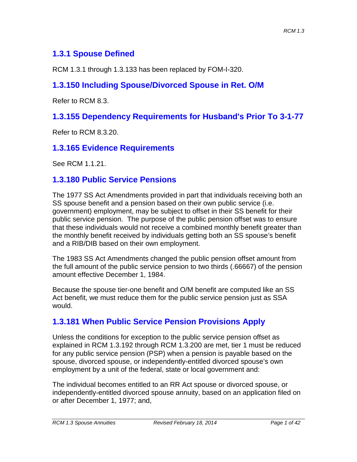# **1.3.1 Spouse Defined**

RCM 1.3.1 through 1.3.133 has been replaced by FOM-I-320.

# **1.3.150 Including Spouse/Divorced Spouse in Ret. O/M**

Refer to RCM 8.3.

# **1.3.155 Dependency Requirements for Husband's Prior To 3-1-77**

Refer to RCM 8.3.20.

## **1.3.165 Evidence Requirements**

See RCM 1.1.21.

## **1.3.180 Public Service Pensions**

The 1977 SS Act Amendments provided in part that individuals receiving both an SS spouse benefit and a pension based on their own public service (i.e. government) employment, may be subject to offset in their SS benefit for their public service pension. The purpose of the public pension offset was to ensure that these individuals would not receive a combined monthly benefit greater than the monthly benefit received by individuals getting both an SS spouse's benefit and a RIB/DIB based on their own employment.

The 1983 SS Act Amendments changed the public pension offset amount from the full amount of the public service pension to two thirds (.66667) of the pension amount effective December 1, 1984.

Because the spouse tier-one benefit and O/M benefit are computed like an SS Act benefit, we must reduce them for the public service pension just as SSA would.

# **1.3.181 When Public Service Pension Provisions Apply**

Unless the conditions for exception to the public service pension offset as explained in RCM 1.3.192 through RCM 1.3.200 are met, tier 1 must be reduced for any public service pension (PSP) when a pension is payable based on the spouse, divorced spouse, or independently-entitled divorced spouse's own employment by a unit of the federal, state or local government and:

The individual becomes entitled to an RR Act spouse or divorced spouse, or independently-entitled divorced spouse annuity, based on an application filed on or after December 1, 1977; and,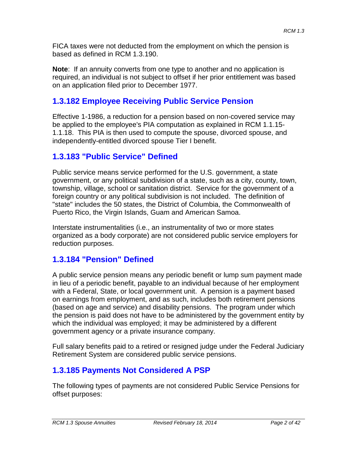FICA taxes were not deducted from the employment on which the pension is based as defined in RCM 1.3.190.

**Note**: If an annuity converts from one type to another and no application is required, an individual is not subject to offset if her prior entitlement was based on an application filed prior to December 1977.

# **1.3.182 Employee Receiving Public Service Pension**

Effective 1-1986, a reduction for a pension based on non-covered service may be applied to the employee's PIA computation as explained in RCM 1.1.15- 1.1.18. This PIA is then used to compute the spouse, divorced spouse, and independently-entitled divorced spouse Tier I benefit.

## **1.3.183 "Public Service" Defined**

Public service means service performed for the U.S. government, a state government, or any political subdivision of a state, such as a city, county, town, township, village, school or sanitation district. Service for the government of a foreign country or any political subdivision is not included. The definition of "state" includes the 50 states, the District of Columbia, the Commonwealth of Puerto Rico, the Virgin Islands, Guam and American Samoa.

Interstate instrumentalities (i.e., an instrumentality of two or more states organized as a body corporate) are not considered public service employers for reduction purposes.

# **1.3.184 "Pension" Defined**

A public service pension means any periodic benefit or lump sum payment made in lieu of a periodic benefit, payable to an individual because of her employment with a Federal, State, or local government unit. A pension is a payment based on earnings from employment, and as such, includes both retirement pensions (based on age and service) and disability pensions. The program under which the pension is paid does not have to be administered by the government entity by which the individual was employed; it may be administered by a different government agency or a private insurance company.

Full salary benefits paid to a retired or resigned judge under the Federal Judiciary Retirement System are considered public service pensions.

# **1.3.185 Payments Not Considered A PSP**

The following types of payments are not considered Public Service Pensions for offset purposes: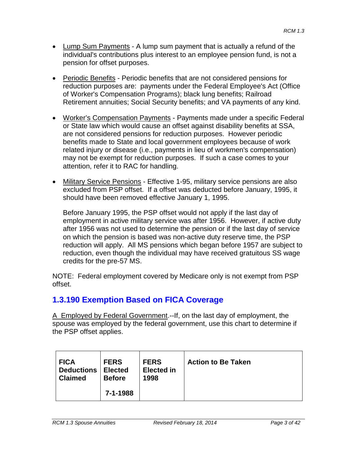- Lump Sum Payments A lump sum payment that is actually a refund of the individual's contributions plus interest to an employee pension fund, is not a pension for offset purposes.
- Periodic Benefits Periodic benefits that are not considered pensions for reduction purposes are: payments under the Federal Employee's Act (Office of Worker's Compensation Programs); black lung benefits; Railroad Retirement annuities; Social Security benefits; and VA payments of any kind.
- Worker's Compensation Payments Payments made under a specific Federal or State law which would cause an offset against disability benefits at SSA, are not considered pensions for reduction purposes. However periodic benefits made to State and local government employees because of work related injury or disease (i.e., payments in lieu of workmen's compensation) may not be exempt for reduction purposes. If such a case comes to your attention, refer it to RAC for handling.
- Military Service Pensions Effective 1-95, military service pensions are also excluded from PSP offset. If a offset was deducted before January, 1995, it should have been removed effective January 1, 1995.

Before January 1995, the PSP offset would not apply if the last day of employment in active military service was after 1956. However, if active duty after 1956 was not used to determine the pension or if the last day of service on which the pension is based was non-active duty reserve time, the PSP reduction will apply. All MS pensions which began before 1957 are subject to reduction, even though the individual may have received gratuitous SS wage credits for the pre-57 MS.

NOTE: Federal employment covered by Medicare only is not exempt from PSP offset.

# **1.3.190 Exemption Based on FICA Coverage**

A Employed by Federal Government.--If, on the last day of employment, the spouse was employed by the federal government, use this chart to determine if the PSP offset applies.

| <b>FICA</b>       | <b>FERS</b>    | <b>FERS</b>       | <b>Action to Be Taken</b> |
|-------------------|----------------|-------------------|---------------------------|
| <b>Deductions</b> | <b>Elected</b> | <b>Elected in</b> |                           |
| <b>Claimed</b>    | <b>Before</b>  | 1998              |                           |
|                   | 7-1-1988       |                   |                           |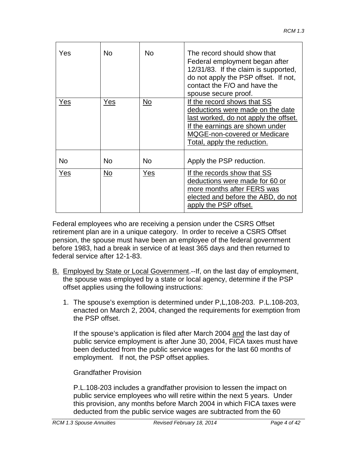| Yes       | No         | No.       | The record should show that<br>Federal employment began after<br>12/31/83. If the claim is supported,<br>do not apply the PSP offset. If not,<br>contact the F/O and have the<br>spouse secure proof.             |
|-----------|------------|-----------|-------------------------------------------------------------------------------------------------------------------------------------------------------------------------------------------------------------------|
| Yes       | <u>Yes</u> | No.       | If the record shows that SS<br>deductions were made on the date<br>last worked, do not apply the offset.<br><u>If the earnings are shown under</u><br>MQGE-non-covered or Medicare<br>Total, apply the reduction. |
| <b>No</b> | <b>No</b>  | <b>No</b> | Apply the PSP reduction.                                                                                                                                                                                          |
| Yes       | No         | Yes       | If the records show that SS<br>deductions were made for 60 or<br>more months after FERS was<br>elected and before the ABD, do not<br>apply the PSP offset.                                                        |

Federal employees who are receiving a pension under the CSRS Offset retirement plan are in a unique category. In order to receive a CSRS Offset pension, the spouse must have been an employee of the federal government before 1983, had a break in service of at least 365 days and then returned to federal service after 12-1-83.

- B. Employed by State or Local Government.--If, on the last day of employment, the spouse was employed by a state or local agency, determine if the PSP offset applies using the following instructions:
	- 1. The spouse's exemption is determined under P,L,108-203. P.L.108-203, enacted on March 2, 2004, changed the requirements for exemption from the PSP offset.

If the spouse's application is filed after March 2004 and the last day of public service employment is after June 30, 2004, FICA taxes must have been deducted from the public service wages for the last 60 months of employment. If not, the PSP offset applies.

Grandfather Provision

P.L.108-203 includes a grandfather provision to lessen the impact on public service employees who will retire within the next 5 years. Under this provision, any months before March 2004 in which FICA taxes were deducted from the public service wages are subtracted from the 60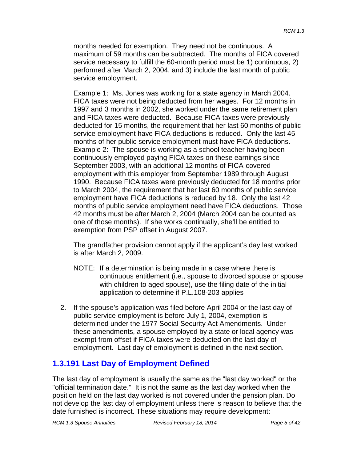months needed for exemption. They need not be continuous. A maximum of 59 months can be subtracted. The months of FICA covered service necessary to fulfill the 60-month period must be 1) continuous, 2) performed after March 2, 2004, and 3) include the last month of public service employment.

Example 1: Ms. Jones was working for a state agency in March 2004. FICA taxes were not being deducted from her wages. For 12 months in 1997 and 3 months in 2002, she worked under the same retirement plan and FICA taxes were deducted. Because FICA taxes were previously deducted for 15 months, the requirement that her last 60 months of public service employment have FICA deductions is reduced. Only the last 45 months of her public service employment must have FICA deductions. Example 2: The spouse is working as a school teacher having been continuously employed paying FICA taxes on these earnings since September 2003, with an additional 12 months of FICA-covered employment with this employer from September 1989 through August 1990. Because FICA taxes were previously deducted for 18 months prior to March 2004, the requirement that her last 60 months of public service employment have FICA deductions is reduced by 18. Only the last 42 months of public service employment need have FICA deductions. Those 42 months must be after March 2, 2004 (March 2004 can be counted as one of those months). If she works continually, she'll be entitled to exemption from PSP offset in August 2007.

The grandfather provision cannot apply if the applicant's day last worked is after March 2, 2009.

- NOTE: If a determination is being made in a case where there is continuous entitlement (i.e., spouse to divorced spouse or spouse with children to aged spouse), use the filing date of the initial application to determine if P.L.108-203 applies
- 2. If the spouse's application was filed before April 2004 or the last day of public service employment is before July 1, 2004, exemption is determined under the 1977 Social Security Act Amendments. Under these amendments, a spouse employed by a state or local agency was exempt from offset if FICA taxes were deducted on the last day of employment. Last day of employment is defined in the next section.

# **1.3.191 Last Day of Employment Defined**

The last day of employment is usually the same as the "last day worked" or the "official termination date." It is not the same as the last day worked when the position held on the last day worked is not covered under the pension plan. Do not develop the last day of employment unless there is reason to believe that the date furnished is incorrect. These situations may require development: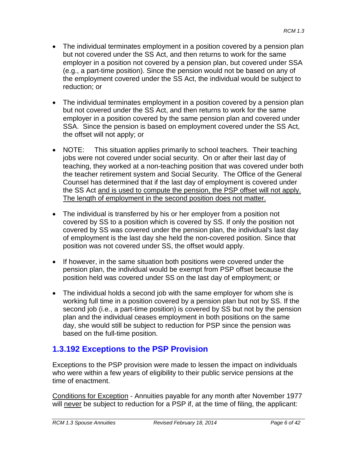- The individual terminates employment in a position covered by a pension plan but not covered under the SS Act, and then returns to work for the same employer in a position not covered by a pension plan, but covered under SSA (e.g., a part-time position). Since the pension would not be based on any of the employment covered under the SS Act, the individual would be subject to reduction; or
- The individual terminates employment in a position covered by a pension plan but not covered under the SS Act, and then returns to work for the same employer in a position covered by the same pension plan and covered under SSA. Since the pension is based on employment covered under the SS Act, the offset will not apply; or
- NOTE: This situation applies primarily to school teachers. Their teaching jobs were not covered under social security. On or after their last day of teaching, they worked at a non-teaching position that was covered under both the teacher retirement system and Social Security. The Office of the General Counsel has determined that if the last day of employment is covered under the SS Act and is used to compute the pension, the PSP offset will not apply. The length of employment in the second position does not matter.
- The individual is transferred by his or her employer from a position not covered by SS to a position which is covered by SS. If only the position not covered by SS was covered under the pension plan, the individual's last day of employment is the last day she held the non-covered position. Since that position was not covered under SS, the offset would apply.
- If however, in the same situation both positions were covered under the pension plan, the individual would be exempt from PSP offset because the position held was covered under SS on the last day of employment; or
- The individual holds a second job with the same employer for whom she is working full time in a position covered by a pension plan but not by SS. If the second job (i.e., a part-time position) is covered by SS but not by the pension plan and the individual ceases employment in both positions on the same day, she would still be subject to reduction for PSP since the pension was based on the full-time position.

# **1.3.192 Exceptions to the PSP Provision**

Exceptions to the PSP provision were made to lessen the impact on individuals who were within a few years of eligibility to their public service pensions at the time of enactment.

Conditions for Exception - Annuities payable for any month after November 1977 will never be subject to reduction for a PSP if, at the time of filing, the applicant: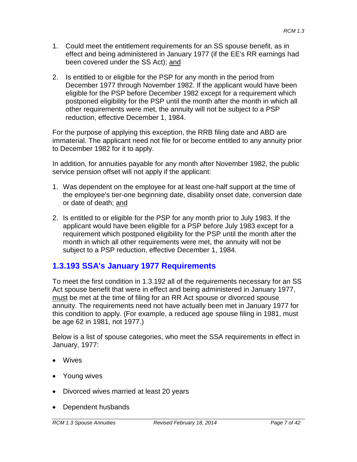- 1. Could meet the entitlement requirements for an SS spouse benefit, as in effect and being administered in January 1977 (if the EE's RR earnings had been covered under the SS Act); and
- 2. Is entitled to or eligible for the PSP for any month in the period from December 1977 through November 1982. If the applicant would have been eligible for the PSP before December 1982 except for a requirement which postponed eligibility for the PSP until the month after the month in which all other requirements were met, the annuity will not be subject to a PSP reduction, effective December 1, 1984.

For the purpose of applying this exception, the RRB filing date and ABD are immaterial. The applicant need not file for or become entitled to any annuity prior to December 1982 for it to apply.

In addition, for annuities payable for any month after November 1982, the public service pension offset will not apply if the applicant:

- 1. Was dependent on the employee for at least one-half support at the time of the employee's tier-one beginning date, disability onset date, conversion date or date of death; and
- 2. Is entitled to or eligible for the PSP for any month prior to July 1983. If the applicant would have been eligible for a PSP before July 1983 except for a requirement which postponed eligibility for the PSP until the month after the month in which all other requirements were met, the annuity will not be subject to a PSP reduction, effective December 1, 1984.

# **1.3.193 SSA's January 1977 Requirements**

To meet the first condition in 1.3.192 all of the requirements necessary for an SS Act spouse benefit that were in effect and being administered in January 1977, must be met at the time of filing for an RR Act spouse or divorced spouse annuity. The requirements need not have actually been met in January 1977 for this condition to apply. (For example, a reduced age spouse filing in 1981, must be age 62 in 1981, not 1977.)

Below is a list of spouse categories, who meet the SSA requirements in effect in January, 1977:

- Wives
- Young wives
- Divorced wives married at least 20 years
- Dependent husbands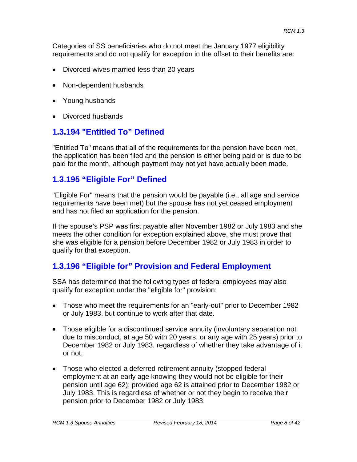Categories of SS beneficiaries who do not meet the January 1977 eligibility requirements and do not qualify for exception in the offset to their benefits are:

- Divorced wives married less than 20 years
- Non-dependent husbands
- Young husbands
- Divorced husbands

## **1.3.194 "Entitled To" Defined**

"Entitled To" means that all of the requirements for the pension have been met, the application has been filed and the pension is either being paid or is due to be paid for the month, although payment may not yet have actually been made.

## **1.3.195 "Eligible For" Defined**

"Eligible For" means that the pension would be payable (i.e., all age and service requirements have been met) but the spouse has not yet ceased employment and has not filed an application for the pension.

If the spouse's PSP was first payable after November 1982 or July 1983 and she meets the other condition for exception explained above, she must prove that she was eligible for a pension before December 1982 or July 1983 in order to qualify for that exception.

## **1.3.196 "Eligible for" Provision and Federal Employment**

SSA has determined that the following types of federal employees may also qualify for exception under the "eligible for" provision:

- Those who meet the requirements for an "early-out" prior to December 1982 or July 1983, but continue to work after that date.
- Those eligible for a discontinued service annuity (involuntary separation not due to misconduct, at age 50 with 20 years, or any age with 25 years) prior to December 1982 or July 1983, regardless of whether they take advantage of it or not.
- Those who elected a deferred retirement annuity (stopped federal employment at an early age knowing they would not be eligible for their pension until age 62); provided age 62 is attained prior to December 1982 or July 1983. This is regardless of whether or not they begin to receive their pension prior to December 1982 or July 1983.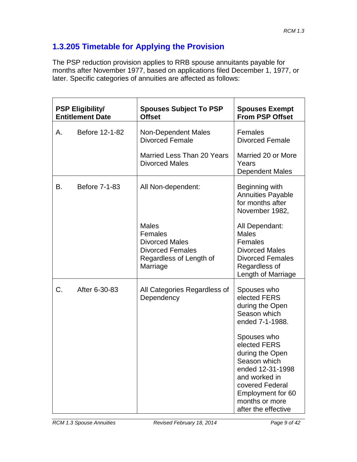# **1.3.205 Timetable for Applying the Provision**

The PSP reduction provision applies to RRB spouse annuitants payable for months after November 1977, based on applications filed December 1, 1977, or later. Specific categories of annuities are affected as follows:

| <b>PSP Eligibility/</b><br><b>Entitlement Date</b> |                | <b>Spouses Subject To PSP</b><br><b>Offset</b>                                                                     | <b>Spouses Exempt</b><br><b>From PSP Offset</b>                                                                                                                                      |
|----------------------------------------------------|----------------|--------------------------------------------------------------------------------------------------------------------|--------------------------------------------------------------------------------------------------------------------------------------------------------------------------------------|
| Α.                                                 | Before 12-1-82 | Non-Dependent Males<br><b>Divorced Female</b>                                                                      | <b>Females</b><br><b>Divorced Female</b>                                                                                                                                             |
|                                                    |                | Married Less Than 20 Years<br><b>Divorced Males</b>                                                                | Married 20 or More<br>Years<br>Dependent Males                                                                                                                                       |
| В.                                                 | Before 7-1-83  | All Non-dependent:                                                                                                 | Beginning with<br><b>Annuities Payable</b><br>for months after<br>November 1982,                                                                                                     |
|                                                    |                | <b>Males</b><br>Females<br><b>Divorced Males</b><br><b>Divorced Females</b><br>Regardless of Length of<br>Marriage | All Dependant:<br><b>Males</b><br>Females<br><b>Divorced Males</b><br><b>Divorced Females</b><br>Regardless of<br>Length of Marriage                                                 |
| C.                                                 | After 6-30-83  | All Categories Regardless of<br>Dependency                                                                         | Spouses who<br>elected FERS<br>during the Open<br>Season which<br>ended 7-1-1988.                                                                                                    |
|                                                    |                |                                                                                                                    | Spouses who<br>elected FERS<br>during the Open<br>Season which<br>ended 12-31-1998<br>and worked in<br>covered Federal<br>Employment for 60<br>months or more<br>after the effective |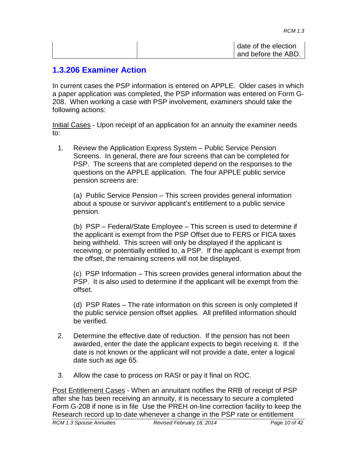| date of the election |
|----------------------|
| and before the ABD.  |

## **1.3.206 Examiner Action**

In current cases the PSP information is entered on APPLE. Older cases in which a paper application was completed, the PSP information was entered on Form G-208. When working a case with PSP involvement, examiners should take the following actions:

Initial Cases - Upon receipt of an application for an annuity the examiner needs to:

1. Review the Application Express System – Public Service Pension Screens. In general, there are four screens that can be completed for PSP. The screens that are completed depend on the responses to the questions on the APPLE application. The four APPLE public service pension screens are:

(a) Public Service Pension – This screen provides general information about a spouse or survivor applicant's entitlement to a public service pension.

(b) PSP – Federal/State Employee – This screen is used to determine if the applicant is exempt from the PSP Offset due to FERS or FICA taxes being withheld. This screen will only be displayed if the applicant is receiving, or potentially entitled to, a PSP. If the applicant is exempt from the offset, the remaining screens will not be displayed.

(c) PSP Information – This screen provides general information about the PSP. It is also used to determine if the applicant will be exempt from the offset.

(d) PSP Rates – The rate information on this screen is only completed if the public service pension offset applies. All prefilled information should be verified.

- 2. Determine the effective date of reduction. If the pension has not been awarded, enter the date the applicant expects to begin receiving it. If the date is not known or the applicant will not provide a date, enter a logical date such as age 65.
- 3. Allow the case to process on RASI or pay it final on ROC.

Post Entitlement Cases - When an annuitant notifies the RRB of receipt of PSP after she has been receiving an annuity, it is necessary to secure a completed Form G-208 if none is in file Use the PREH on-line correction facility to keep the Research record up to date whenever a change in the PSP rate or entitlement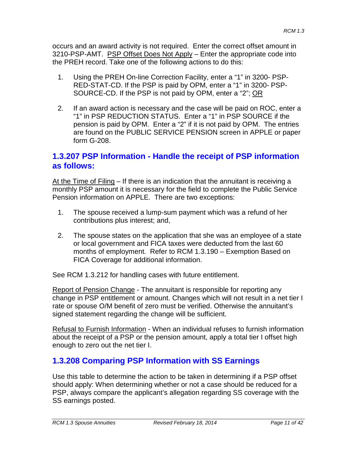occurs and an award activity is not required. Enter the correct offset amount in 3210-PSP-AMT. PSP Offset Does Not Apply – Enter the appropriate code into the PREH record. Take one of the following actions to do this:

- 1. Using the PREH On-line Correction Facility, enter a "1" in 3200- PSP-RED-STAT-CD. If the PSP is paid by OPM, enter a "1" in 3200- PSP-SOURCE-CD. If the PSP is not paid by OPM, enter a "2"; OR
- 2. If an award action is necessary and the case will be paid on ROC, enter a "1" in PSP REDUCTION STATUS. Enter a "1" in PSP SOURCE if the pension is paid by OPM. Enter a "2" if it is not paid by OPM. The entries are found on the PUBLIC SERVICE PENSION screen in APPLE or paper form G-208.

## **1.3.207 PSP Information - Handle the receipt of PSP information as follows:**

At the Time of Filing – If there is an indication that the annuitant is receiving a monthly PSP amount it is necessary for the field to complete the Public Service Pension information on APPLE. There are two exceptions:

- 1. The spouse received a lump-sum payment which was a refund of her contributions plus interest; and,
- 2. The spouse states on the application that she was an employee of a state or local government and FICA taxes were deducted from the last 60 months of employment. Refer to RCM 1.3.190 – Exemption Based on FICA Coverage for additional information.

See RCM 1.3.212 for handling cases with future entitlement.

Report of Pension Change - The annuitant is responsible for reporting any change in PSP entitlement or amount. Changes which will not result in a net tier I rate or spouse O/M benefit of zero must be verified. Otherwise the annuitant's signed statement regarding the change will be sufficient.

Refusal to Furnish Information - When an individual refuses to furnish information about the receipt of a PSP or the pension amount, apply a total tier I offset high enough to zero out the net tier I.

# **1.3.208 Comparing PSP Information with SS Earnings**

Use this table to determine the action to be taken in determining if a PSP offset should apply: When determining whether or not a case should be reduced for a PSP, always compare the applicant's allegation regarding SS coverage with the SS earnings posted.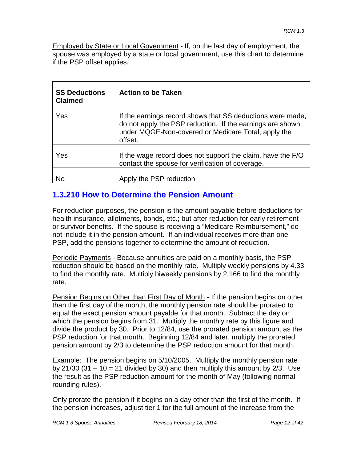Employed by State or Local Government - If, on the last day of employment, the spouse was employed by a state or local government, use this chart to determine if the PSP offset applies.

| <b>SS Deductions</b><br><b>Claimed</b> | <b>Action to be Taken</b>                                                                                                                                                                 |
|----------------------------------------|-------------------------------------------------------------------------------------------------------------------------------------------------------------------------------------------|
| Yes                                    | If the earnings record shows that SS deductions were made,<br>do not apply the PSP reduction. If the earnings are shown<br>under MQGE-Non-covered or Medicare Total, apply the<br>offset. |
| Yes                                    | If the wage record does not support the claim, have the F/O<br>contact the spouse for verification of coverage.                                                                           |
| N٥                                     | Apply the PSP reduction                                                                                                                                                                   |

# **1.3.210 How to Determine the Pension Amount**

For reduction purposes, the pension is the amount payable before deductions for health insurance, allotments, bonds, etc.; but after reduction for early retirement or survivor benefits. If the spouse is receiving a "Medicare Reimbursement," do not include it in the pension amount. If an individual receives more than one PSP, add the pensions together to determine the amount of reduction.

Periodic Payments - Because annuities are paid on a monthly basis, the PSP reduction should be based on the monthly rate. Multiply weekly pensions by 4.33 to find the monthly rate. Multiply biweekly pensions by 2.166 to find the monthly rate.

Pension Begins on Other than First Day of Month - If the pension begins on other than the first day of the month, the monthly pension rate should be prorated to equal the exact pension amount payable for that month. Subtract the day on which the pension begins from 31. Multiply the monthly rate by this figure and divide the product by 30. Prior to 12/84, use the prorated pension amount as the PSP reduction for that month. Beginning 12/84 and later, multiply the prorated pension amount by 2/3 to determine the PSP reduction amount for that month.

Example: The pension begins on 5/10/2005. Multiply the monthly pension rate by 21/30 (31 – 10 = 21 divided by 30) and then multiply this amount by  $2/3$ . Use the result as the PSP reduction amount for the month of May (following normal rounding rules).

Only prorate the pension if it begins on a day other than the first of the month. If the pension increases, adjust tier 1 for the full amount of the increase from the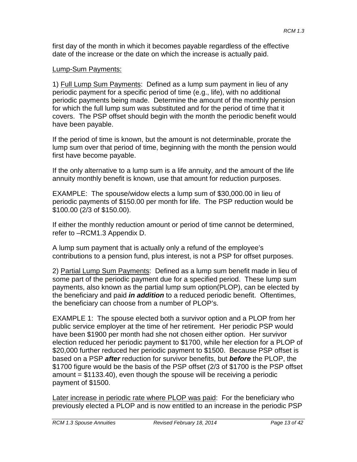first day of the month in which it becomes payable regardless of the effective date of the increase or the date on which the increase is actually paid.

#### Lump-Sum Payments:

1) Full Lump Sum Payments: Defined as a lump sum payment in lieu of any periodic payment for a specific period of time (e.g., life), with no additional periodic payments being made. Determine the amount of the monthly pension for which the full lump sum was substituted and for the period of time that it covers. The PSP offset should begin with the month the periodic benefit would have been payable.

If the period of time is known, but the amount is not determinable, prorate the lump sum over that period of time, beginning with the month the pension would first have become payable.

If the only alternative to a lump sum is a life annuity, and the amount of the life annuity monthly benefit is known, use that amount for reduction purposes.

EXAMPLE: The spouse/widow elects a lump sum of \$30,000.00 in lieu of periodic payments of \$150.00 per month for life. The PSP reduction would be \$100.00 (2/3 of \$150.00).

If either the monthly reduction amount or period of time cannot be determined, refer to –RCM1.3 Appendix D.

A lump sum payment that is actually only a refund of the employee's contributions to a pension fund, plus interest, is not a PSP for offset purposes.

2) Partial Lump Sum Payments: Defined as a lump sum benefit made in lieu of some part of the periodic payment due for a specified period. These lump sum payments, also known as the partial lump sum option(PLOP), can be elected by the beneficiary and paid *in addition* to a reduced periodic benefit. Oftentimes, the beneficiary can choose from a number of PLOP's.

EXAMPLE 1: The spouse elected both a survivor option and a PLOP from her public service employer at the time of her retirement. Her periodic PSP would have been \$1900 per month had she not chosen either option. Her survivor election reduced her periodic payment to \$1700, while her election for a PLOP of \$20,000 further reduced her periodic payment to \$1500. Because PSP offset is based on a PSP *after* reduction for survivor benefits, but *before* the PLOP, the \$1700 figure would be the basis of the PSP offset (2/3 of \$1700 is the PSP offset amount  $= $1133.40$ , even though the spouse will be receiving a periodic payment of \$1500.

Later increase in periodic rate where PLOP was paid: For the beneficiary who previously elected a PLOP and is now entitled to an increase in the periodic PSP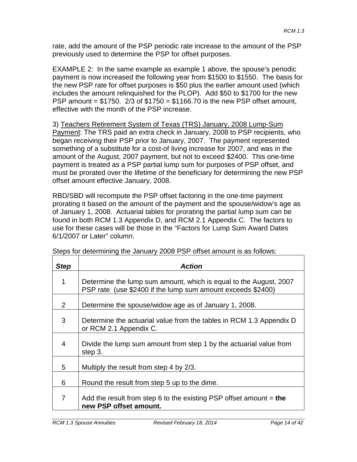rate, add the amount of the PSP periodic rate increase to the amount of the PSP previously used to determine the PSP for offset purposes.

EXAMPLE 2: In the same example as example 1 above, the spouse's periodic payment is now increased the following year from \$1500 to \$1550. The basis for the new PSP rate for offset purposes is \$50 plus the earlier amount used (which includes the amount relinquished for the PLOP). Add \$50 to \$1700 for the new PSP amount =  $$1750.2/3$  of  $$1750 = $1166.70$  is the new PSP offset amount, effective with the month of the PSP increase.

3) Teachers Retirement System of Texas (TRS) January, 2008 Lump-Sum Payment: The TRS paid an extra check in January, 2008 to PSP recipients, who began receiving their PSP prior to January, 2007. The payment represented something of a substitute for a cost-of living increase for 2007, and was in the amount of the August, 2007 payment, but not to exceed \$2400. This one-time payment is treated as a PSP partial lump sum for purposes of PSP offset, and must be prorated over the lifetime of the beneficiary for determining the new PSP offset amount effective January, 2008.

RBD/SBD will recompute the PSP offset factoring in the one-time payment prorating it based on the amount of the payment and the spouse/widow's age as of January 1, 2008. Actuarial tables for prorating the partial lump sum can be found in both RCM 1.3 Appendix D, and RCM 2.1 Appendix C. The factors to use for these cases will be those in the "Factors for Lump Sum Award Dates 6/1/2007 or Later" column.

| <b>Step</b> | <b>Action</b>                                                                                                                    |
|-------------|----------------------------------------------------------------------------------------------------------------------------------|
| 1           | Determine the lump sum amount, which is equal to the August, 2007<br>PSP rate (use \$2400 if the lump sum amount exceeds \$2400) |
| 2           | Determine the spouse/widow age as of January 1, 2008.                                                                            |
| 3           | Determine the actuarial value from the tables in RCM 1.3 Appendix D<br>or RCM 2.1 Appendix C.                                    |
| 4           | Divide the lump sum amount from step 1 by the actuarial value from<br>step 3.                                                    |
| 5           | Multiply the result from step 4 by 2/3.                                                                                          |
| 6           | Round the result from step 5 up to the dime.                                                                                     |
| 7           | Add the result from step 6 to the existing PSP offset amount $=$ the<br>new PSP offset amount.                                   |

Steps for determining the January 2008 PSP offset amount is as follows: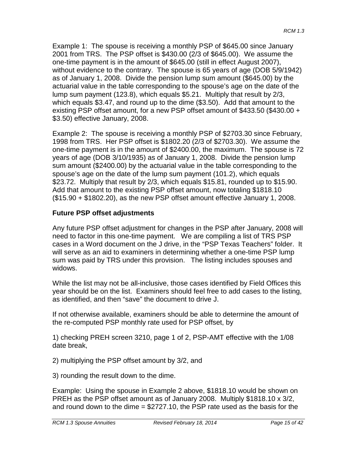Example 1: The spouse is receiving a monthly PSP of \$645.00 since January 2001 from TRS. The PSP offset is \$430.00 (2/3 of \$645.00). We assume the one-time payment is in the amount of \$645.00 (still in effect August 2007), without evidence to the contrary. The spouse is 65 years of age (DOB 5/9/1942) as of January 1, 2008. Divide the pension lump sum amount (\$645.00) by the actuarial value in the table corresponding to the spouse's age on the date of the lump sum payment (123.8), which equals \$5.21. Multiply that result by 2/3, which equals \$3.47, and round up to the dime (\$3.50). Add that amount to the existing PSP offset amount, for a new PSP offset amount of \$433.50 (\$430.00 + \$3.50) effective January, 2008.

Example 2: The spouse is receiving a monthly PSP of \$2703.30 since February, 1998 from TRS. Her PSP offset is \$1802.20 (2/3 of \$2703.30). We assume the one-time payment is in the amount of \$2400.00, the maximum. The spouse is 72 years of age (DOB 3/10/1935) as of January 1, 2008. Divide the pension lump sum amount (\$2400.00) by the actuarial value in the table corresponding to the spouse's age on the date of the lump sum payment (101.2), which equals \$23.72. Multiply that result by 2/3, which equals \$15.81, rounded up to \$15.90. Add that amount to the existing PSP offset amount, now totaling \$1818.10 (\$15.90 + \$1802.20), as the new PSP offset amount effective January 1, 2008.

### **Future PSP offset adjustments**

Any future PSP offset adjustment for changes in the PSP after January, 2008 will need to factor in this one-time payment. We are compiling a list of TRS PSP cases in a Word document on the J drive, in the "PSP Texas Teachers" folder. It will serve as an aid to examiners in determining whether a one-time PSP lump sum was paid by TRS under this provision. The listing includes spouses and widows.

While the list may not be all-inclusive, those cases identified by Field Offices this year should be on the list. Examiners should feel free to add cases to the listing, as identified, and then "save" the document to drive J.

If not otherwise available, examiners should be able to determine the amount of the re-computed PSP monthly rate used for PSP offset, by

1) checking PREH screen 3210, page 1 of 2, PSP-AMT effective with the 1/08 date break,

2) multiplying the PSP offset amount by 3/2, and

3) rounding the result down to the dime.

Example: Using the spouse in Example 2 above, \$1818.10 would be shown on PREH as the PSP offset amount as of January 2008. Multiply \$1818.10 x 3/2, and round down to the dime = \$2727.10, the PSP rate used as the basis for the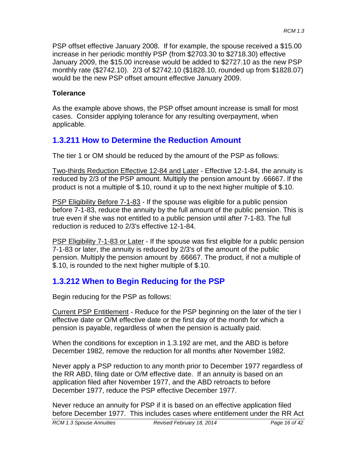PSP offset effective January 2008. If for example, the spouse received a \$15.00 increase in her periodic monthly PSP (from \$2703.30 to \$2718.30) effective January 2009, the \$15.00 increase would be added to \$2727.10 as the new PSP monthly rate (\$2742.10). 2/3 of \$2742.10 (\$1828.10, rounded up from \$1828.07) would be the new PSP offset amount effective January 2009.

### **Tolerance**

As the example above shows, the PSP offset amount increase is small for most cases. Consider applying tolerance for any resulting overpayment, when applicable.

# **1.3.211 How to Determine the Reduction Amount**

The tier 1 or OM should be reduced by the amount of the PSP as follows:

Two-thirds Reduction Effective 12-84 and Later - Effective 12-1-84, the annuity is reduced by 2/3 of the PSP amount. Multiply the pension amount by .66667. If the product is not a multiple of \$.10, round it up to the next higher multiple of \$.10.

PSP Eligibility Before 7-1-83 - If the spouse was eligible for a public pension before 7-1-83, reduce the annuity by the full amount of the public pension. This is true even if she was not entitled to a public pension until after 7-1-83. The full reduction is reduced to 2/3's effective 12-1-84.

PSP Eligibility 7-1-83 or Later - If the spouse was first eligible for a public pension 7-1-83 or later, the annuity is reduced by 2/3's of the amount of the public pension. Multiply the pension amount by .66667. The product, if not a multiple of \$.10, is rounded to the next higher multiple of \$.10.

# **1.3.212 When to Begin Reducing for the PSP**

Begin reducing for the PSP as follows:

Current PSP Entitlement - Reduce for the PSP beginning on the later of the tier I effective date or O/M effective date or the first day of the month for which a pension is payable, regardless of when the pension is actually paid.

When the conditions for exception in 1.3.192 are met, and the ABD is before December 1982, remove the reduction for all months after November 1982.

Never apply a PSP reduction to any month prior to December 1977 regardless of the RR ABD, filing date or O/M effective date. If an annuity is based on an application filed after November 1977, and the ABD retroacts to before December 1977, reduce the PSP effective December 1977.

Never reduce an annuity for PSP if it is based on an effective application filed before December 1977. This includes cases where entitlement under the RR Act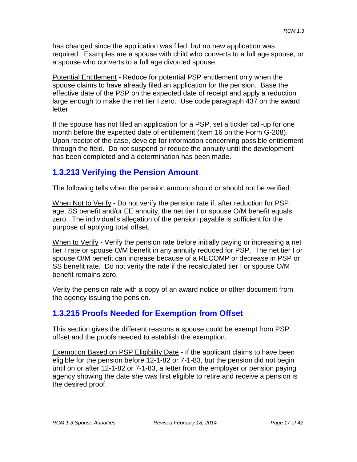has changed since the application was filed, but no new application was required. Examples are a spouse with child who converts to a full age spouse, or a spouse who converts to a full age divorced spouse.

Potential Entitlement - Reduce for potential PSP entitlement only when the spouse claims to have already filed an application for the pension. Base the effective date of the PSP on the expected date of receipt and apply a reduction large enough to make the net tier I zero. Use code paragraph 437 on the award letter.

If the spouse has not filed an application for a PSP, set a tickler call-up for one month before the expected date of entitlement (item 16 on the Form G-208). Upon receipt of the case, develop for information concerning possible entitlement through the field. Do not suspend or reduce the annuity until the development has been completed and a determination has been made.

# **1.3.213 Verifying the Pension Amount**

The following tells when the pension amount should or should not be verified:

When Not to Verify - Do not verify the pension rate if, after reduction for PSP, age, SS benefit and/or EE annuity, the net tier I or spouse O/M benefit equals zero. The individual's allegation of the pension payable is sufficient for the purpose of applying total offset.

When to Verify - Verify the pension rate before initially paying or increasing a net tier I rate or spouse O/M benefit in any annuity reduced for PSP. The net tier I or spouse O/M benefit can increase because of a RECOMP or decrease in PSP or SS benefit rate. Do not verity the rate if the recalculated tier I or spouse O/M benefit remains zero.

Verity the pension rate with a copy of an award notice or other document from the agency issuing the pension.

# **1.3.215 Proofs Needed for Exemption from Offset**

This section gives the different reasons a spouse could be exempt from PSP offset and the proofs needed to establish the exemption.

Exemption Based on PSP Eligibility Date - If the applicant claims to have been eligible for the pension before 12-1-82 or 7-1-83, but the pension did not begin until on or after 12-1-82 or 7-1-83, a letter from the employer or pension paying agency showing the date she was first eligible to retire and receive a pension is the desired proof.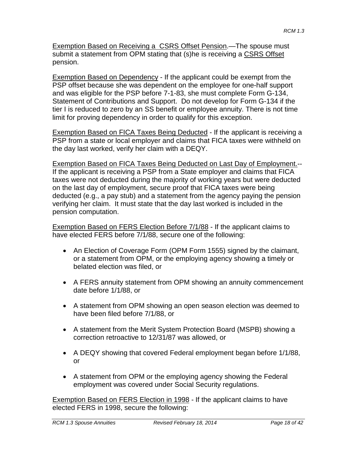Exemption Based on Receiving a CSRS Offset Pension.—The spouse must submit a statement from OPM stating that (s)he is receiving a CSRS Offset pension.

Exemption Based on Dependency - If the applicant could be exempt from the PSP offset because she was dependent on the employee for one-half support and was eligible for the PSP before 7-1-83, she must complete Form G-134, Statement of Contributions and Support. Do not develop for Form G-134 if the tier I is reduced to zero by an SS benefit or employee annuity. There is not time limit for proving dependency in order to qualify for this exception.

Exemption Based on FICA Taxes Being Deducted - If the applicant is receiving a PSP from a state or local employer and claims that FICA taxes were withheld on the day last worked, verify her claim with a DEQY.

Exemption Based on FICA Taxes Being Deducted on Last Day of Employment.-- If the applicant is receiving a PSP from a State employer and claims that FICA taxes were not deducted during the majority of working years but were deducted on the last day of employment, secure proof that FICA taxes were being deducted (e.g., a pay stub) and a statement from the agency paying the pension verifying her claim. It must state that the day last worked is included in the pension computation.

Exemption Based on FERS Election Before 7/1/88 - If the applicant claims to have elected FERS before 7/1/88, secure one of the following:

- An Election of Coverage Form (OPM Form 1555) signed by the claimant, or a statement from OPM, or the employing agency showing a timely or belated election was filed, or
- A FERS annuity statement from OPM showing an annuity commencement date before 1/1/88, or
- A statement from OPM showing an open season election was deemed to have been filed before 7/1/88, or
- A statement from the Merit System Protection Board (MSPB) showing a correction retroactive to 12/31/87 was allowed, or
- A DEQY showing that covered Federal employment began before 1/1/88, or
- A statement from OPM or the employing agency showing the Federal employment was covered under Social Security regulations.

Exemption Based on FERS Election in 1998 - If the applicant claims to have elected FERS in 1998, secure the following: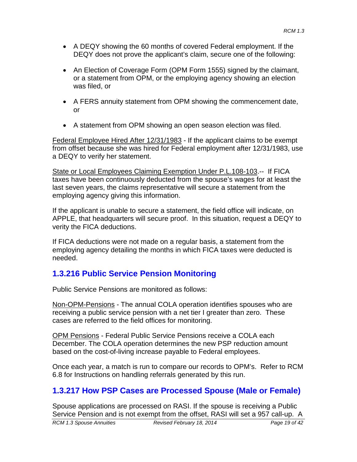- A DEQY showing the 60 months of covered Federal employment. If the DEQY does not prove the applicant's claim, secure one of the following:
- An Election of Coverage Form (OPM Form 1555) signed by the claimant, or a statement from OPM, or the employing agency showing an election was filed, or
- A FERS annuity statement from OPM showing the commencement date, or
- A statement from OPM showing an open season election was filed.

Federal Employee Hired After 12/31/1983 - If the applicant claims to be exempt from offset because she was hired for Federal employment after 12/31/1983, use a DEQY to verify her statement.

State or Local Employees Claiming Exemption Under P.L.108-103.-- If FICA taxes have been continuously deducted from the spouse's wages for at least the last seven years, the claims representative will secure a statement from the employing agency giving this information.

If the applicant is unable to secure a statement, the field office will indicate, on APPLE, that headquarters will secure proof. In this situation, request a DEQY to verity the FICA deductions.

If FICA deductions were not made on a regular basis, a statement from the employing agency detailing the months in which FICA taxes were deducted is needed.

# **1.3.216 Public Service Pension Monitoring**

Public Service Pensions are monitored as follows:

Non-OPM-Pensions - The annual COLA operation identifies spouses who are receiving a public service pension with a net tier I greater than zero. These cases are referred to the field offices for monitoring.

OPM Pensions - Federal Public Service Pensions receive a COLA each December. The COLA operation determines the new PSP reduction amount based on the cost-of-living increase payable to Federal employees.

Once each year, a match is run to compare our records to OPM's. Refer to RCM 6.8 for Instructions on handling referrals generated by this run.

# **1.3.217 How PSP Cases are Processed Spouse (Male or Female)**

Spouse applications are processed on RASI. If the spouse is receiving a Public Service Pension and is not exempt from the offset, RASI will set a 957 call-up. A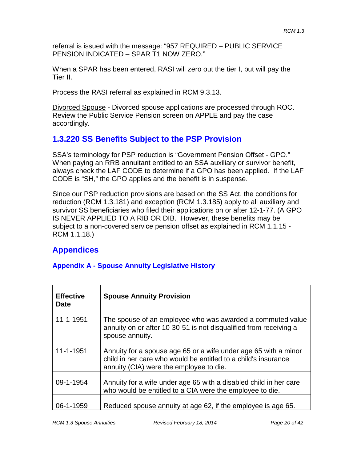referral is issued with the message: "957 REQUIRED – PUBLIC SERVICE PENSION INDICATED – SPAR T1 NOW ZERO."

When a SPAR has been entered, RASI will zero out the tier I, but will pay the Tier II.

Process the RASI referral as explained in RCM 9.3.13.

Divorced Spouse - Divorced spouse applications are processed through ROC. Review the Public Service Pension screen on APPLE and pay the case accordingly.

# **1.3.220 SS Benefits Subject to the PSP Provision**

SSA's terminology for PSP reduction is "Government Pension Offset - GPO." When paying an RRB annuitant entitled to an SSA auxiliary or survivor benefit, always check the LAF CODE to determine if a GPO has been applied. If the LAF CODE is "SH," the GPO applies and the benefit is in suspense.

Since our PSP reduction provisions are based on the SS Act, the conditions for reduction (RCM 1.3.181) and exception (RCM 1.3.185) apply to all auxiliary and survivor SS beneficiaries who filed their applications on or after 12-1-77. (A GPO IS NEVER APPLIED TO A RIB OR DIB. However, these benefits may be subject to a non-covered service pension offset as explained in RCM 1.1.15 - RCM 1.1.18.)

# **Appendices**

### **Appendix A - Spouse Annuity Legislative History**

| <b>Effective</b><br><b>Date</b> | <b>Spouse Annuity Provision</b>                                                                                                                                              |
|---------------------------------|------------------------------------------------------------------------------------------------------------------------------------------------------------------------------|
| 11-1-1951                       | The spouse of an employee who was awarded a commuted value<br>annuity on or after 10-30-51 is not disqualified from receiving a<br>spouse annuity.                           |
| 11-1-1951                       | Annuity for a spouse age 65 or a wife under age 65 with a minor<br>child in her care who would be entitled to a child's insurance<br>annuity (CIA) were the employee to die. |
| 09-1-1954                       | Annuity for a wife under age 65 with a disabled child in her care<br>who would be entitled to a CIA were the employee to die.                                                |
| 06-1-1959                       | Reduced spouse annuity at age 62, if the employee is age 65.                                                                                                                 |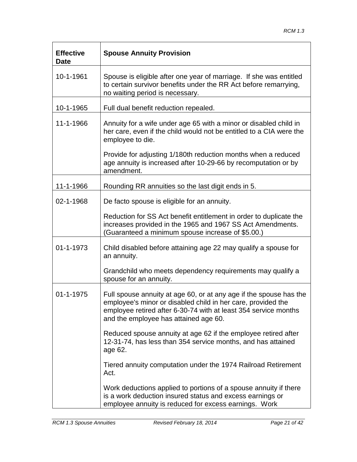| <b>Effective</b><br><b>Date</b> | <b>Spouse Annuity Provision</b>                                                                                                                                                                                                                |
|---------------------------------|------------------------------------------------------------------------------------------------------------------------------------------------------------------------------------------------------------------------------------------------|
| 10-1-1961                       | Spouse is eligible after one year of marriage. If she was entitled<br>to certain survivor benefits under the RR Act before remarrying,<br>no waiting period is necessary.                                                                      |
| 10-1-1965                       | Full dual benefit reduction repealed.                                                                                                                                                                                                          |
| 11-1-1966                       | Annuity for a wife under age 65 with a minor or disabled child in<br>her care, even if the child would not be entitled to a CIA were the<br>employee to die.                                                                                   |
|                                 | Provide for adjusting 1/180th reduction months when a reduced<br>age annuity is increased after 10-29-66 by recomputation or by<br>amendment.                                                                                                  |
| 11-1-1966                       | Rounding RR annuities so the last digit ends in 5.                                                                                                                                                                                             |
| 02-1-1968                       | De facto spouse is eligible for an annuity.                                                                                                                                                                                                    |
|                                 | Reduction for SS Act benefit entitlement in order to duplicate the<br>increases provided in the 1965 and 1967 SS Act Amendments.<br>Guaranteed a minimum spouse increase of \$5.00.)                                                           |
| 01-1-1973                       | Child disabled before attaining age 22 may qualify a spouse for<br>an annuity.                                                                                                                                                                 |
|                                 | Grandchild who meets dependency requirements may qualify a<br>spouse for an annuity.                                                                                                                                                           |
| 01-1-1975                       | Full spouse annuity at age 60, or at any age if the spouse has the<br>employee's minor or disabled child in her care, provided the<br>employee retired after 6-30-74 with at least 354 service months<br>and the employee has attained age 60. |
|                                 | Reduced spouse annuity at age 62 if the employee retired after<br>12-31-74, has less than 354 service months, and has attained<br>age 62.                                                                                                      |
|                                 | Tiered annuity computation under the 1974 Railroad Retirement<br>Act.                                                                                                                                                                          |
|                                 | Work deductions applied to portions of a spouse annuity if there<br>is a work deduction insured status and excess earnings or<br>employee annuity is reduced for excess earnings. Work                                                         |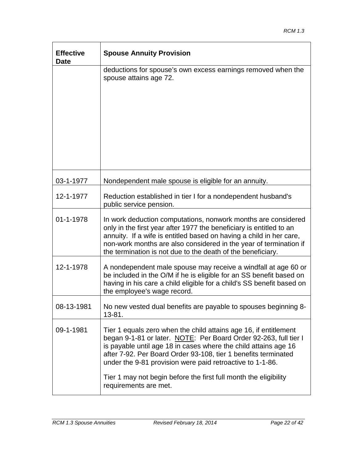| <b>Effective</b><br><b>Date</b> | <b>Spouse Annuity Provision</b>                                                                                                                                                                                                                                                                                                                 |
|---------------------------------|-------------------------------------------------------------------------------------------------------------------------------------------------------------------------------------------------------------------------------------------------------------------------------------------------------------------------------------------------|
|                                 | deductions for spouse's own excess earnings removed when the<br>spouse attains age 72.                                                                                                                                                                                                                                                          |
| 03-1-1977                       | Nondependent male spouse is eligible for an annuity.                                                                                                                                                                                                                                                                                            |
| 12-1-1977                       | Reduction established in tier I for a nondependent husband's<br>public service pension.                                                                                                                                                                                                                                                         |
| 01-1-1978                       | In work deduction computations, nonwork months are considered<br>only in the first year after 1977 the beneficiary is entitled to an<br>annuity. If a wife is entitled based on having a child in her care,<br>non-work months are also considered in the year of termination if<br>the termination is not due to the death of the beneficiary. |
| 12-1-1978                       | A nondependent male spouse may receive a windfall at age 60 or<br>be included in the O/M if he is eligible for an SS benefit based on<br>having in his care a child eligible for a child's SS benefit based on<br>the employee's wage record.                                                                                                   |
| 08-13-1981                      | No new vested dual benefits are payable to spouses beginning 8-<br>13-81.                                                                                                                                                                                                                                                                       |
| 09-1-1981                       | Tier 1 equals zero when the child attains age 16, if entitlement<br>began 9-1-81 or later. NOTE: Per Board Order 92-263, full tier I<br>is payable until age 18 in cases where the child attains age 16<br>after 7-92. Per Board Order 93-108, tier 1 benefits terminated<br>under the 9-81 provision were paid retroactive to 1-1-86.          |
|                                 | Tier 1 may not begin before the first full month the eligibility<br>requirements are met.                                                                                                                                                                                                                                                       |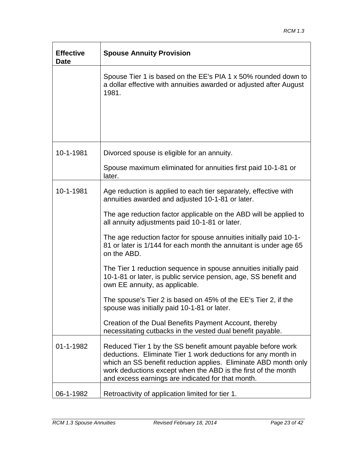| <b>Effective</b><br><b>Date</b> | <b>Spouse Annuity Provision</b>                                                                                                                                                                                                                                                                                       |
|---------------------------------|-----------------------------------------------------------------------------------------------------------------------------------------------------------------------------------------------------------------------------------------------------------------------------------------------------------------------|
|                                 | Spouse Tier 1 is based on the EE's PIA 1 x 50% rounded down to<br>a dollar effective with annuities awarded or adjusted after August<br>1981.                                                                                                                                                                         |
| 10-1-1981                       | Divorced spouse is eligible for an annuity.                                                                                                                                                                                                                                                                           |
|                                 | Spouse maximum eliminated for annuities first paid 10-1-81 or<br>later.                                                                                                                                                                                                                                               |
| 10-1-1981                       | Age reduction is applied to each tier separately, effective with<br>annuities awarded and adjusted 10-1-81 or later.                                                                                                                                                                                                  |
|                                 | The age reduction factor applicable on the ABD will be applied to<br>all annuity adjustments paid 10-1-81 or later.                                                                                                                                                                                                   |
|                                 | The age reduction factor for spouse annuities initially paid 10-1-<br>81 or later is 1/144 for each month the annuitant is under age 65<br>on the ABD.                                                                                                                                                                |
|                                 | The Tier 1 reduction sequence in spouse annuities initially paid<br>10-1-81 or later, is public service pension, age, SS benefit and<br>own EE annuity, as applicable.                                                                                                                                                |
|                                 | The spouse's Tier 2 is based on 45% of the EE's Tier 2, if the<br>spouse was initially paid 10-1-81 or later.                                                                                                                                                                                                         |
|                                 | Creation of the Dual Benefits Payment Account, thereby<br>necessitating cutbacks in the vested dual benefit payable.                                                                                                                                                                                                  |
| 01-1-1982                       | Reduced Tier 1 by the SS benefit amount payable before work<br>deductions. Eliminate Tier 1 work deductions for any month in<br>which an SS benefit reduction applies. Eliminate ABD month only<br>work deductions except when the ABD is the first of the month<br>and excess earnings are indicated for that month. |
| 06-1-1982                       | Retroactivity of application limited for tier 1.                                                                                                                                                                                                                                                                      |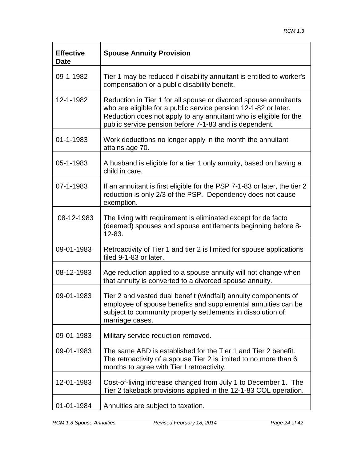| <b>Effective</b><br><b>Date</b> | <b>Spouse Annuity Provision</b>                                                                                                                                                                                                                                    |
|---------------------------------|--------------------------------------------------------------------------------------------------------------------------------------------------------------------------------------------------------------------------------------------------------------------|
| 09-1-1982                       | Tier 1 may be reduced if disability annuitant is entitled to worker's<br>compensation or a public disability benefit.                                                                                                                                              |
| 12-1-1982                       | Reduction in Tier 1 for all spouse or divorced spouse annuitants<br>who are eligible for a public service pension 12-1-82 or later.<br>Reduction does not apply to any annuitant who is eligible for the<br>public service pension before 7-1-83 and is dependent. |
| 01-1-1983                       | Work deductions no longer apply in the month the annuitant<br>attains age 70.                                                                                                                                                                                      |
| 05-1-1983                       | A husband is eligible for a tier 1 only annuity, based on having a<br>child in care.                                                                                                                                                                               |
| 07-1-1983                       | If an annuitant is first eligible for the PSP 7-1-83 or later, the tier 2<br>reduction is only 2/3 of the PSP. Dependency does not cause<br>exemption.                                                                                                             |
| 08-12-1983                      | The living with requirement is eliminated except for de facto<br>(deemed) spouses and spouse entitlements beginning before 8-<br>12-83.                                                                                                                            |
| 09-01-1983                      | Retroactivity of Tier 1 and tier 2 is limited for spouse applications<br>filed 9-1-83 or later.                                                                                                                                                                    |
| 08-12-1983                      | Age reduction applied to a spouse annuity will not change when<br>that annuity is converted to a divorced spouse annuity.                                                                                                                                          |
| 09-01-1983                      | Tier 2 and vested dual benefit (windfall) annuity components of<br>employee of spouse benefits and supplemental annuities can be<br>subject to community property settlements in dissolution of<br>marriage cases.                                                 |
| 09-01-1983                      | Military service reduction removed.                                                                                                                                                                                                                                |
| 09-01-1983                      | The same ABD is established for the Tier 1 and Tier 2 benefit.<br>The retroactivity of a spouse Tier 2 is limited to no more than 6<br>months to agree with Tier I retroactivity.                                                                                  |
| 12-01-1983                      | Cost-of-living increase changed from July 1 to December 1. The<br>Tier 2 takeback provisions applied in the 12-1-83 COL operation.                                                                                                                                 |
| 01-01-1984                      | Annuities are subject to taxation.                                                                                                                                                                                                                                 |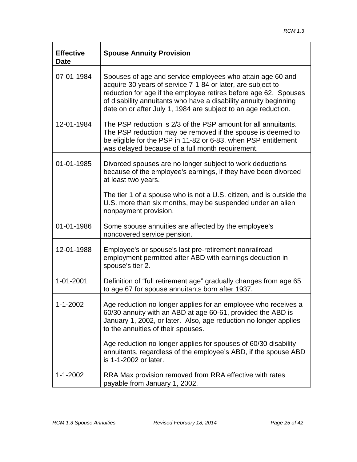| <b>Effective</b><br><b>Date</b> | <b>Spouse Annuity Provision</b>                                                                                                                                                                                                                                                                                                     |
|---------------------------------|-------------------------------------------------------------------------------------------------------------------------------------------------------------------------------------------------------------------------------------------------------------------------------------------------------------------------------------|
| 07-01-1984                      | Spouses of age and service employees who attain age 60 and<br>acquire 30 years of service 7-1-84 or later, are subject to<br>reduction for age if the employee retires before age 62. Spouses<br>of disability annuitants who have a disability annuity beginning<br>date on or after July 1, 1984 are subject to an age reduction. |
| 12-01-1984                      | The PSP reduction is 2/3 of the PSP amount for all annuitants.<br>The PSP reduction may be removed if the spouse is deemed to<br>be eligible for the PSP in 11-82 or 6-83, when PSP entitlement<br>was delayed because of a full month requirement.                                                                                 |
| 01-01-1985                      | Divorced spouses are no longer subject to work deductions<br>because of the employee's earnings, if they have been divorced<br>at least two years.                                                                                                                                                                                  |
|                                 | The tier 1 of a spouse who is not a U.S. citizen, and is outside the<br>U.S. more than six months, may be suspended under an alien<br>nonpayment provision.                                                                                                                                                                         |
| 01-01-1986                      | Some spouse annuities are affected by the employee's<br>noncovered service pension.                                                                                                                                                                                                                                                 |
| 12-01-1988                      | Employee's or spouse's last pre-retirement nonrailroad<br>employment permitted after ABD with earnings deduction in<br>spouse's tier 2.                                                                                                                                                                                             |
| 1-01-2001                       | Definition of "full retirement age" gradually changes from age 65<br>to age 67 for spouse annuitants born after 1937.                                                                                                                                                                                                               |
| $1 - 1 - 2002$                  | Age reduction no longer applies for an employee who receives a<br>60/30 annuity with an ABD at age 60-61, provided the ABD is<br>January 1, 2002, or later. Also, age reduction no longer applies<br>to the annuities of their spouses.                                                                                             |
|                                 | Age reduction no longer applies for spouses of 60/30 disability<br>annuitants, regardless of the employee's ABD, if the spouse ABD<br>is 1-1-2002 or later.                                                                                                                                                                         |
| $1 - 1 - 2002$                  | RRA Max provision removed from RRA effective with rates<br>payable from January 1, 2002.                                                                                                                                                                                                                                            |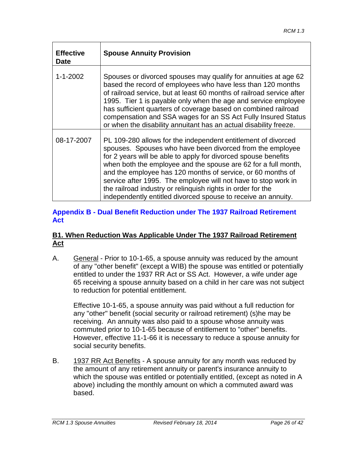| <b>Effective</b><br><b>Date</b> | <b>Spouse Annuity Provision</b>                                                                                                                                                                                                                                                                                                                                                                                                                                                                                                 |
|---------------------------------|---------------------------------------------------------------------------------------------------------------------------------------------------------------------------------------------------------------------------------------------------------------------------------------------------------------------------------------------------------------------------------------------------------------------------------------------------------------------------------------------------------------------------------|
| $1 - 1 - 2002$                  | Spouses or divorced spouses may qualify for annuities at age 62<br>based the record of employees who have less than 120 months<br>of railroad service, but at least 60 months of railroad service after<br>1995. Tier 1 is payable only when the age and service employee<br>has sufficient quarters of coverage based on combined railroad<br>compensation and SSA wages for an SS Act Fully Insured Status<br>or when the disability annuitant has an actual disability freeze.                                               |
| 08-17-2007                      | PL 109-280 allows for the independent entitlement of divorced<br>spouses. Spouses who have been divorced from the employee<br>for 2 years will be able to apply for divorced spouse benefits<br>when both the employee and the spouse are 62 for a full month,<br>and the employee has 120 months of service, or 60 months of<br>service after 1995. The employee will not have to stop work in<br>the railroad industry or relinguish rights in order for the<br>independently entitled divorced spouse to receive an annuity. |

#### **Appendix B - Dual Benefit Reduction under The 1937 Railroad Retirement Act**

#### **B1. When Reduction Was Applicable Under The 1937 Railroad Retirement Act**

A. General - Prior to 10-1-65, a spouse annuity was reduced by the amount of any "other benefit" (except a WIB) the spouse was entitled or potentially entitled to under the 1937 RR Act or SS Act. However, a wife under age 65 receiving a spouse annuity based on a child in her care was not subject to reduction for potential entitlement.

Effective 10-1-65, a spouse annuity was paid without a full reduction for any "other" benefit (social security or railroad retirement) (s)he may be receiving. An annuity was also paid to a spouse whose annuity was commuted prior to 10-1-65 because of entitlement to "other" benefits. However, effective 11-1-66 it is necessary to reduce a spouse annuity for social security benefits.

B. 1937 RR Act Benefits - A spouse annuity for any month was reduced by the amount of any retirement annuity or parent's insurance annuity to which the spouse was entitled or potentially entitled, (except as noted in A above) including the monthly amount on which a commuted award was based.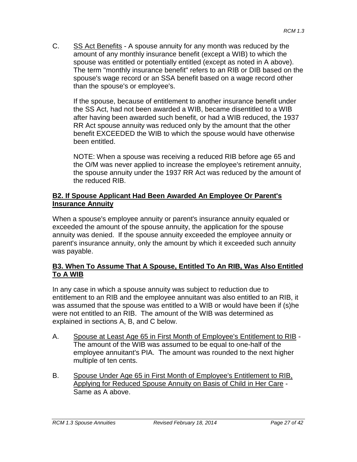C. SS Act Benefits - A spouse annuity for any month was reduced by the amount of any monthly insurance benefit (except a WIB) to which the spouse was entitled or potentially entitled (except as noted in A above). The term "monthly insurance benefit" refers to an RIB or DIB based on the spouse's wage record or an SSA benefit based on a wage record other than the spouse's or employee's.

If the spouse, because of entitlement to another insurance benefit under the SS Act, had not been awarded a WIB, became disentitled to a WIB after having been awarded such benefit, or had a WIB reduced, the 1937 RR Act spouse annuity was reduced only by the amount that the other benefit EXCEEDED the WIB to which the spouse would have otherwise been entitled.

NOTE: When a spouse was receiving a reduced RIB before age 65 and the O/M was never applied to increase the employee's retirement annuity, the spouse annuity under the 1937 RR Act was reduced by the amount of the reduced RIB.

#### **B2. If Spouse Applicant Had Been Awarded An Employee Or Parent's Insurance Annuity**

When a spouse's employee annuity or parent's insurance annuity equaled or exceeded the amount of the spouse annuity, the application for the spouse annuity was denied. If the spouse annuity exceeded the employee annuity or parent's insurance annuity, only the amount by which it exceeded such annuity was payable.

#### **B3. When To Assume That A Spouse, Entitled To An RIB, Was Also Entitled To A WIB**

In any case in which a spouse annuity was subject to reduction due to entitlement to an RIB and the employee annuitant was also entitled to an RIB, it was assumed that the spouse was entitled to a WIB or would have been if (s)he were not entitled to an RIB. The amount of the WIB was determined as explained in sections A, B, and C below.

- A. Spouse at Least Age 65 in First Month of Employee's Entitlement to RIB The amount of the WIB was assumed to be equal to one-half of the employee annuitant's PIA. The amount was rounded to the next higher multiple of ten cents.
- B. Spouse Under Age 65 in First Month of Employee's Entitlement to RIB, Applying for Reduced Spouse Annuity on Basis of Child in Her Care - Same as A above.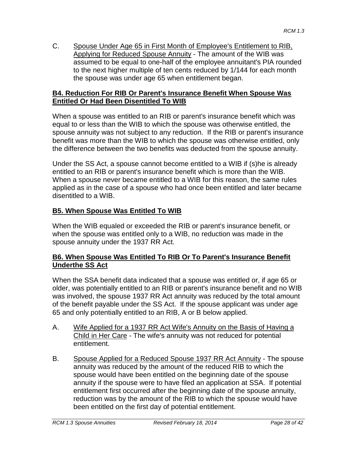C. Spouse Under Age 65 in First Month of Employee's Entitlement to RIB, Applying for Reduced Spouse Annuity - The amount of the WIB was assumed to be equal to one-half of the employee annuitant's PIA rounded to the next higher multiple of ten cents reduced by 1/144 for each month the spouse was under age 65 when entitlement began.

#### **B4. Reduction For RIB Or Parent's Insurance Benefit When Spouse Was Entitled Or Had Been Disentitled To WIB**

When a spouse was entitled to an RIB or parent's insurance benefit which was equal to or less than the WIB to which the spouse was otherwise entitled, the spouse annuity was not subject to any reduction. If the RIB or parent's insurance benefit was more than the WIB to which the spouse was otherwise entitled, only the difference between the two benefits was deducted from the spouse annuity.

Under the SS Act, a spouse cannot become entitled to a WIB if (s)he is already entitled to an RIB or parent's insurance benefit which is more than the WIB. When a spouse never became entitled to a WIB for this reason, the same rules applied as in the case of a spouse who had once been entitled and later became disentitled to a WIB.

## **B5. When Spouse Was Entitled To WIB**

When the WIB equaled or exceeded the RIB or parent's insurance benefit, or when the spouse was entitled only to a WIB, no reduction was made in the spouse annuity under the 1937 RR Act.

#### **B6. When Spouse Was Entitled To RIB Or To Parent's Insurance Benefit Underthe SS Act**

When the SSA benefit data indicated that a spouse was entitled or, if age 65 or older, was potentially entitled to an RIB or parent's insurance benefit and no WIB was involved, the spouse 1937 RR Act annuity was reduced by the total amount of the benefit payable under the SS Act. If the spouse applicant was under age 65 and only potentially entitled to an RIB, A or B below applied.

- A. Wife Applied for a 1937 RR Act Wife's Annuity on the Basis of Having a Child in Her Care - The wife's annuity was not reduced for potential entitlement.
- B. Spouse Applied for a Reduced Spouse 1937 RR Act Annuity The spouse annuity was reduced by the amount of the reduced RIB to which the spouse would have been entitled on the beginning date of the spouse annuity if the spouse were to have filed an application at SSA. If potential entitlement first occurred after the beginning date of the spouse annuity, reduction was by the amount of the RIB to which the spouse would have been entitled on the first day of potential entitlement.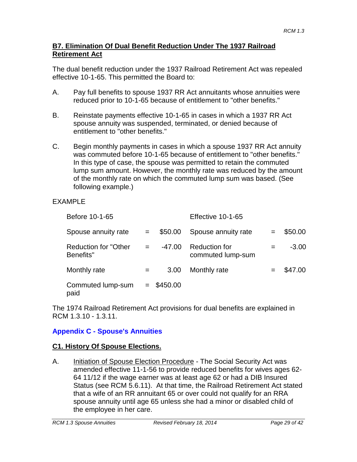#### **B7. Elimination Of Dual Benefit Reduction Under The 1937 Railroad Retirement Act**

The dual benefit reduction under the 1937 Railroad Retirement Act was repealed effective 10-1-65. This permitted the Board to:

- A. Pay full benefits to spouse 1937 RR Act annuitants whose annuities were reduced prior to 10-1-65 because of entitlement to "other benefits."
- B. Reinstate payments effective 10-1-65 in cases in which a 1937 RR Act spouse annuity was suspended, terminated, or denied because of entitlement to "other benefits."
- C. Begin monthly payments in cases in which a spouse 1937 RR Act annuity was commuted before 10-1-65 because of entitlement to "other benefits." In this type of case, the spouse was permitted to retain the commuted lump sum amount. However, the monthly rate was reduced by the amount of the monthly rate on which the commuted lump sum was based. (See following example.)

### EXAMPLE

| Before 10-1-65                           |     |              | Effective 10-1-65                         |         |
|------------------------------------------|-----|--------------|-------------------------------------------|---------|
| Spouse annuity rate                      | $=$ | \$50.00      | Spouse annuity rate                       | \$50.00 |
| <b>Reduction for "Other</b><br>Benefits" |     | -47.00       | <b>Reduction for</b><br>commuted lump-sum | $-3.00$ |
| Monthly rate                             |     | 3.00         | Monthly rate                              | \$47.00 |
| Commuted lump-sum<br>paid                |     | $=$ \$450.00 |                                           |         |

The 1974 Railroad Retirement Act provisions for dual benefits are explained in RCM 1.3.10 - 1.3.11.

## **Appendix C - Spouse's Annuities**

### **C1. History Of Spouse Elections.**

A. Initiation of Spouse Election Procedure - The Social Security Act was amended effective 11-1-56 to provide reduced benefits for wives ages 62- 64 11/12 if the wage earner was at least age 62 or had a DIB Insured Status (see RCM 5.6.11). At that time, the Railroad Retirement Act stated that a wife of an RR annuitant 65 or over could not qualify for an RRA spouse annuity until age 65 unless she had a minor or disabled child of the employee in her care.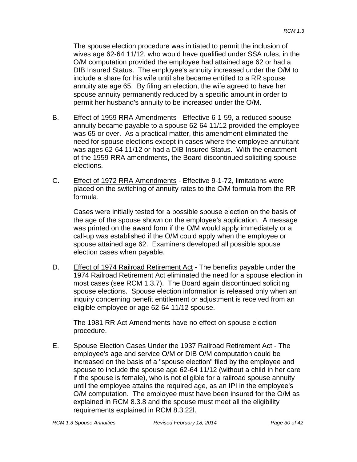The spouse election procedure was initiated to permit the inclusion of wives age 62-64 11/12, who would have qualified under SSA rules, in the O/M computation provided the employee had attained age 62 or had a DIB Insured Status. The employee's annuity increased under the O/M to include a share for his wife until she became entitled to a RR spouse annuity ate age 65. By filing an election, the wife agreed to have her spouse annuity permanently reduced by a specific amount in order to permit her husband's annuity to be increased under the O/M.

- B. Effect of 1959 RRA Amendments Effective 6-1-59, a reduced spouse annuity became payable to a spouse 62-64 11/12 provided the employee was 65 or over. As a practical matter, this amendment eliminated the need for spouse elections except in cases where the employee annuitant was ages 62-64 11/12 or had a DIB Insured Status. With the enactment of the 1959 RRA amendments, the Board discontinued soliciting spouse elections.
- C. Effect of 1972 RRA Amendments Effective 9-1-72, limitations were placed on the switching of annuity rates to the O/M formula from the RR formula.

Cases were initially tested for a possible spouse election on the basis of the age of the spouse shown on the employee's application. A message was printed on the award form if the O/M would apply immediately or a call-up was established if the O/M could apply when the employee or spouse attained age 62. Examiners developed all possible spouse election cases when payable.

D. Effect of 1974 Railroad Retirement Act - The benefits payable under the 1974 Railroad Retirement Act eliminated the need for a spouse election in most cases (see RCM 1.3.7). The Board again discontinued soliciting spouse elections. Spouse election information is released only when an inquiry concerning benefit entitlement or adjustment is received from an eligible employee or age 62-64 11/12 spouse.

The 1981 RR Act Amendments have no effect on spouse election procedure.

E. Spouse Election Cases Under the 1937 Railroad Retirement Act - The employee's age and service O/M or DIB O/M computation could be increased on the basis of a "spouse election" filed by the employee and spouse to include the spouse age 62-64 11/12 (without a child in her care if the spouse is female), who is not eligible for a railroad spouse annuity until the employee attains the required age, as an IPI in the employee's O/M computation. The employee must have been insured for the O/M as explained in RCM 8.3.8 and the spouse must meet all the eligibility requirements explained in RCM 8.3.22l.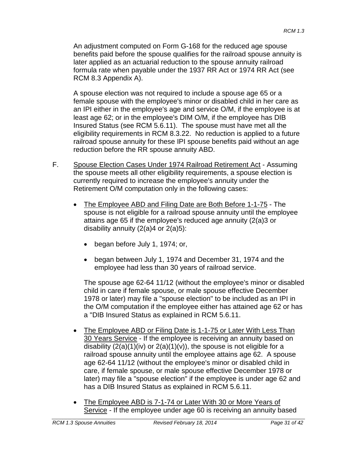An adjustment computed on Form G-168 for the reduced age spouse benefits paid before the spouse qualifies for the railroad spouse annuity is later applied as an actuarial reduction to the spouse annuity railroad formula rate when payable under the 1937 RR Act or 1974 RR Act (see RCM 8.3 Appendix A).

A spouse election was not required to include a spouse age 65 or a female spouse with the employee's minor or disabled child in her care as an IPI either in the employee's age and service O/M, if the employee is at least age 62; or in the employee's DIM O/M, if the employee has DIB Insured Status (see RCM 5.6.11). The spouse must have met all the eligibility requirements in RCM 8.3.22. No reduction is applied to a future railroad spouse annuity for these IPI spouse benefits paid without an age reduction before the RR spouse annuity ABD.

- F. Spouse Election Cases Under 1974 Railroad Retirement Act Assuming the spouse meets all other eligibility requirements, a spouse election is currently required to increase the employee's annuity under the Retirement O/M computation only in the following cases:
	- The Employee ABD and Filing Date are Both Before 1-1-75 The spouse is not eligible for a railroad spouse annuity until the employee attains age 65 if the employee's reduced age annuity (2(a)3 or disability annuity  $(2(a)4$  or  $2(a)5)$ :
		- began before July 1, 1974; or,
		- began between July 1, 1974 and December 31, 1974 and the employee had less than 30 years of railroad service.

The spouse age 62-64 11/12 (without the employee's minor or disabled child in care if female spouse, or male spouse effective December 1978 or later) may file a "spouse election" to be included as an IPI in the O/M computation if the employee either has attained age 62 or has a "DIB Insured Status as explained in RCM 5.6.11.

- The Employee ABD or Filing Date is 1-1-75 or Later With Less Than 30 Years Service - If the employee is receiving an annuity based on disability  $(2(a)(1)(iv)$  or  $2(a)(1)(v)$ , the spouse is not eligible for a railroad spouse annuity until the employee attains age 62. A spouse age 62-64 11/12 (without the employee's minor or disabled child in care, if female spouse, or male spouse effective December 1978 or later) may file a "spouse election" if the employee is under age 62 and has a DIB Insured Status as explained in RCM 5.6.11.
- The Employee ABD is 7-1-74 or Later With 30 or More Years of Service - If the employee under age 60 is receiving an annuity based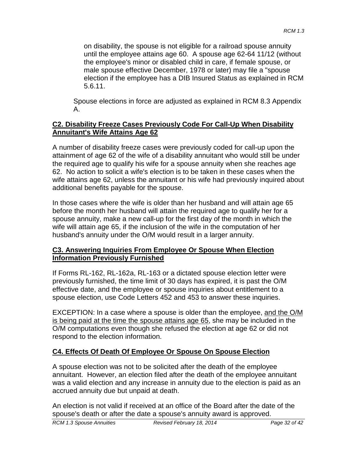on disability, the spouse is not eligible for a railroad spouse annuity until the employee attains age 60. A spouse age 62-64 11/12 (without the employee's minor or disabled child in care, if female spouse, or male spouse effective December, 1978 or later) may file a "spouse election if the employee has a DIB Insured Status as explained in RCM 5.6.11.

Spouse elections in force are adjusted as explained in RCM 8.3 Appendix A.

#### **C2. Disability Freeze Cases Previously Code For Call-Up When Disability Annuitant's Wife Attains Age 62**

A number of disability freeze cases were previously coded for call-up upon the attainment of age 62 of the wife of a disability annuitant who would still be under the required age to qualify his wife for a spouse annuity when she reaches age 62. No action to solicit a wife's election is to be taken in these cases when the wife attains age 62, unless the annuitant or his wife had previously inquired about additional benefits payable for the spouse.

In those cases where the wife is older than her husband and will attain age 65 before the month her husband will attain the required age to qualify her for a spouse annuity, make a new call-up for the first day of the month in which the wife will attain age 65, if the inclusion of the wife in the computation of her husband's annuity under the O/M would result in a larger annuity.

#### **C3. Answering Inquiries From Employee Or Spouse When Election Information Previously Furnished**

If Forms RL-162, RL-162a, RL-163 or a dictated spouse election letter were previously furnished, the time limit of 30 days has expired, it is past the O/M effective date, and the employee or spouse inquiries about entitlement to a spouse election, use Code Letters 452 and 453 to answer these inquiries.

EXCEPTION: In a case where a spouse is older than the employee, and the O/M is being paid at the time the spouse attains age 65, she may be included in the O/M computations even though she refused the election at age 62 or did not respond to the election information.

### **C4. Effects Of Death Of Employee Or Spouse On Spouse Election**

A spouse election was not to be solicited after the death of the employee annuitant. However, an election filed after the death of the employee annuitant was a valid election and any increase in annuity due to the election is paid as an accrued annuity due but unpaid at death.

An election is not valid if received at an office of the Board after the date of the spouse's death or after the date a spouse's annuity award is approved.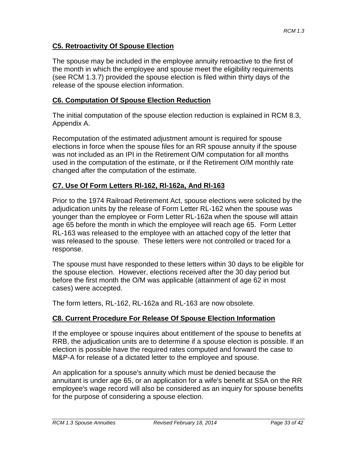#### **C5. Retroactivity Of Spouse Election**

The spouse may be included in the employee annuity retroactive to the first of the month in which the employee and spouse meet the eligibility requirements (see RCM 1.3.7) provided the spouse election is filed within thirty days of the release of the spouse election information.

#### **C6. Computation Of Spouse Election Reduction**

The initial computation of the spouse election reduction is explained in RCM 8.3, Appendix A.

Recomputation of the estimated adjustment amount is required for spouse elections in force when the spouse files for an RR spouse annuity if the spouse was not included as an IPI in the Retirement O/M computation for all months used in the computation of the estimate, or if the Retirement O/M monthly rate changed after the computation of the estimate.

#### **C7. Use Of Form Letters Rl-162, Rl-162a, And Rl-163**

Prior to the 1974 Railroad Retirement Act, spouse elections were solicited by the adjudication units by the release of Form Letter RL-162 when the spouse was younger than the employee or Form Letter RL-162a when the spouse will attain age 65 before the month in which the employee will reach age 65. Form Letter RL-163 was released to the employee with an attached copy of the letter that was released to the spouse. These letters were not controlled or traced for a response.

The spouse must have responded to these letters within 30 days to be eligible for the spouse election. However, elections received after the 30 day period but before the first month the O/M was applicable (attainment of age 62 in most cases) were accepted.

The form letters, RL-162, RL-162a and RL-163 are now obsolete.

#### **C8. Current Procedure For Release Of Spouse Election Information**

If the employee or spouse inquires about entitlement of the spouse to benefits at RRB, the adjudication units are to determine if a spouse election is possible. If an election is possible have the required rates computed and forward the case to M&P-A for release of a dictated letter to the employee and spouse.

An application for a spouse's annuity which must be denied because the annuitant is under age 65, or an application for a wife's benefit at SSA on the RR employee's wage record will also be considered as an inquiry for spouse benefits for the purpose of considering a spouse election.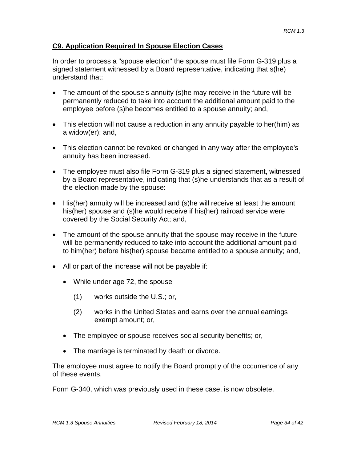#### **C9. Application Required In Spouse Election Cases**

In order to process a "spouse election" the spouse must file Form G-319 plus a signed statement witnessed by a Board representative, indicating that s(he) understand that:

- The amount of the spouse's annuity (s)he may receive in the future will be permanently reduced to take into account the additional amount paid to the employee before (s)he becomes entitled to a spouse annuity; and,
- This election will not cause a reduction in any annuity payable to her(him) as a widow(er); and,
- This election cannot be revoked or changed in any way after the employee's annuity has been increased.
- The employee must also file Form G-319 plus a signed statement, witnessed by a Board representative, indicating that (s)he understands that as a result of the election made by the spouse:
- His(her) annuity will be increased and (s)he will receive at least the amount his(her) spouse and (s)he would receive if his(her) railroad service were covered by the Social Security Act; and,
- The amount of the spouse annuity that the spouse may receive in the future will be permanently reduced to take into account the additional amount paid to him(her) before his(her) spouse became entitled to a spouse annuity; and,
- All or part of the increase will not be payable if:
	- While under age 72, the spouse
		- (1) works outside the U.S.; or,
		- (2) works in the United States and earns over the annual earnings exempt amount; or,
	- The employee or spouse receives social security benefits; or,
	- The marriage is terminated by death or divorce.

The employee must agree to notify the Board promptly of the occurrence of any of these events.

Form G-340, which was previously used in these case, is now obsolete.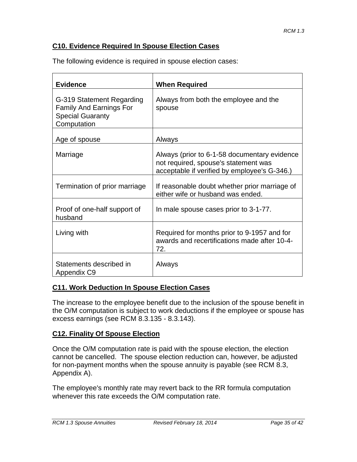#### **C10. Evidence Required In Spouse Election Cases**

| <b>Evidence</b>                                                                                       | <b>When Required</b>                                                                                                                 |
|-------------------------------------------------------------------------------------------------------|--------------------------------------------------------------------------------------------------------------------------------------|
| G-319 Statement Regarding<br><b>Family And Earnings For</b><br><b>Special Guaranty</b><br>Computation | Always from both the employee and the<br>spouse                                                                                      |
| Age of spouse                                                                                         | Always                                                                                                                               |
| Marriage                                                                                              | Always (prior to 6-1-58 documentary evidence<br>not required, spouse's statement was<br>acceptable if verified by employee's G-346.) |
| Termination of prior marriage                                                                         | If reasonable doubt whether prior marriage of<br>either wife or husband was ended.                                                   |
| Proof of one-half support of<br>husband                                                               | In male spouse cases prior to 3-1-77.                                                                                                |
| Living with                                                                                           | Required for months prior to 9-1957 and for<br>awards and recertifications made after 10-4-<br>72.                                   |
| Statements described in<br>Appendix C9                                                                | Always                                                                                                                               |

The following evidence is required in spouse election cases:

#### **C11. Work Deduction In Spouse Election Cases**

The increase to the employee benefit due to the inclusion of the spouse benefit in the O/M computation is subject to work deductions if the employee or spouse has excess earnings (see RCM 8.3.135 - 8.3.143).

#### **C12. Finality Of Spouse Election**

Once the O/M computation rate is paid with the spouse election, the election cannot be cancelled. The spouse election reduction can, however, be adjusted for non-payment months when the spouse annuity is payable (see RCM 8.3, Appendix A).

The employee's monthly rate may revert back to the RR formula computation whenever this rate exceeds the O/M computation rate.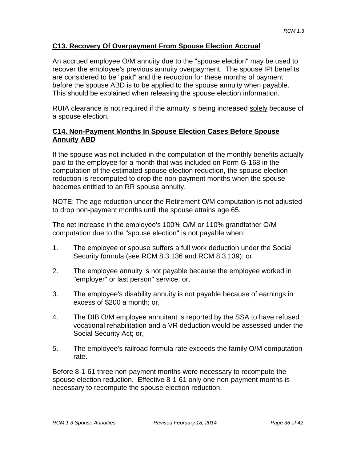#### **C13. Recovery Of Overpayment From Spouse Election Accrual**

An accrued employee O/M annuity due to the "spouse election" may be used to recover the employee's previous annuity overpayment. The spouse IPI benefits are considered to be "paid" and the reduction for these months of payment before the spouse ABD is to be applied to the spouse annuity when payable. This should be explained when releasing the spouse election information.

RUIA clearance is not required if the annuity is being increased solely because of a spouse election.

#### **C14. Non-Payment Months In Spouse Election Cases Before Spouse Annuity ABD**

If the spouse was not included in the computation of the monthly benefits actually paid to the employee for a month that was included on Form G-168 in the computation of the estimated spouse election reduction, the spouse election reduction is recomputed to drop the non-payment months when the spouse becomes entitled to an RR spouse annuity.

NOTE: The age reduction under the Retirement O/M computation is not adjusted to drop non-payment months until the spouse attains age 65.

The net increase in the employee's 100% O/M or 110% grandfather O/M computation due to the "spouse election" is not payable when:

- 1. The employee or spouse suffers a full work deduction under the Social Security formula (see RCM 8.3.136 and RCM 8.3.139); or,
- 2. The employee annuity is not payable because the employee worked in "employer" or last person" service; or,
- 3. The employee's disability annuity is not payable because of earnings in excess of \$200 a month; or,
- 4. The DIB O/M employee annuitant is reported by the SSA to have refused vocational rehabilitation and a VR deduction would be assessed under the Social Security Act; or,
- 5. The employee's railroad formula rate exceeds the family O/M computation rate.

Before 8-1-61 three non-payment months were necessary to recompute the spouse election reduction. Effective 8-1-61 only one non-payment months is necessary to recompute the spouse election reduction.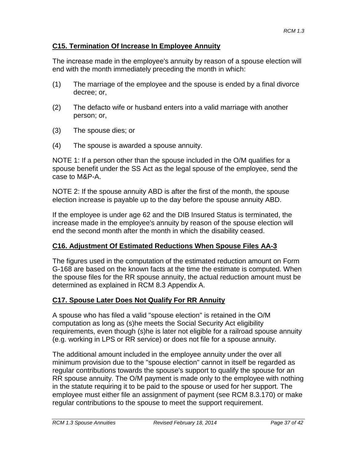#### **C15. Termination Of Increase In Employee Annuity**

The increase made in the employee's annuity by reason of a spouse election will end with the month immediately preceding the month in which:

- (1) The marriage of the employee and the spouse is ended by a final divorce decree; or,
- (2) The defacto wife or husband enters into a valid marriage with another person; or,
- (3) The spouse dies; or
- (4) The spouse is awarded a spouse annuity.

NOTE 1: If a person other than the spouse included in the O/M qualifies for a spouse benefit under the SS Act as the legal spouse of the employee, send the case to M&P-A.

NOTE 2: If the spouse annuity ABD is after the first of the month, the spouse election increase is payable up to the day before the spouse annuity ABD.

If the employee is under age 62 and the DIB Insured Status is terminated, the increase made in the employee's annuity by reason of the spouse election will end the second month after the month in which the disability ceased.

### **C16. Adjustment Of Estimated Reductions When Spouse Files AA-3**

The figures used in the computation of the estimated reduction amount on Form G-168 are based on the known facts at the time the estimate is computed. When the spouse files for the RR spouse annuity, the actual reduction amount must be determined as explained in RCM 8.3 Appendix A.

### **C17. Spouse Later Does Not Qualify For RR Annuity**

A spouse who has filed a valid "spouse election" is retained in the O/M computation as long as (s)he meets the Social Security Act eligibility requirements, even though (s)he is later not eligible for a railroad spouse annuity (e.g. working in LPS or RR service) or does not file for a spouse annuity.

The additional amount included in the employee annuity under the over all minimum provision due to the "spouse election" cannot in itself be regarded as regular contributions towards the spouse's support to qualify the spouse for an RR spouse annuity. The O/M payment is made only to the employee with nothing in the statute requiring it to be paid to the spouse or used for her support. The employee must either file an assignment of payment (see RCM 8.3.170) or make regular contributions to the spouse to meet the support requirement.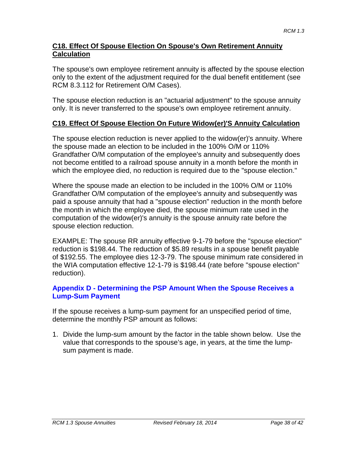#### **C18. Effect Of Spouse Election On Spouse's Own Retirement Annuity Calculation**

The spouse's own employee retirement annuity is affected by the spouse election only to the extent of the adjustment required for the dual benefit entitlement (see RCM 8.3.112 for Retirement O/M Cases).

The spouse election reduction is an "actuarial adjustment" to the spouse annuity only. It is never transferred to the spouse's own employee retirement annuity.

#### **C19. Effect Of Spouse Election On Future Widow(er)'S Annuity Calculation**

The spouse election reduction is never applied to the widow(er)'s annuity. Where the spouse made an election to be included in the 100% O/M or 110% Grandfather O/M computation of the employee's annuity and subsequently does not become entitled to a railroad spouse annuity in a month before the month in which the employee died, no reduction is required due to the "spouse election."

Where the spouse made an election to be included in the 100% O/M or 110% Grandfather O/M computation of the employee's annuity and subsequently was paid a spouse annuity that had a "spouse election" reduction in the month before the month in which the employee died, the spouse minimum rate used in the computation of the widow(er)'s annuity is the spouse annuity rate before the spouse election reduction.

EXAMPLE: The spouse RR annuity effective 9-1-79 before the "spouse election" reduction is \$198.44. The reduction of \$5.89 results in a spouse benefit payable of \$192.55. The employee dies 12-3-79. The spouse minimum rate considered in the WIA computation effective 12-1-79 is \$198.44 (rate before "spouse election" reduction).

#### **Appendix D - Determining the PSP Amount When the Spouse Receives a Lump-Sum Payment**

If the spouse receives a lump-sum payment for an unspecified period of time, determine the monthly PSP amount as follows:

1. Divide the lump-sum amount by the factor in the table shown below. Use the value that corresponds to the spouse's age, in years, at the time the lumpsum payment is made.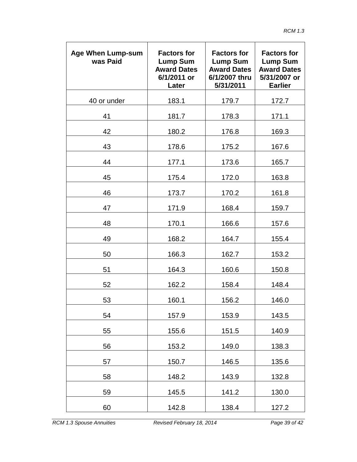| <b>Age When Lump-sum</b><br>was Paid | <b>Factors for</b><br><b>Lump Sum</b><br><b>Award Dates</b><br>6/1/2011 or<br>Later | <b>Factors for</b><br><b>Lump Sum</b><br><b>Award Dates</b><br>6/1/2007 thru<br>5/31/2011 | <b>Factors for</b><br><b>Lump Sum</b><br><b>Award Dates</b><br>5/31/2007 or<br><b>Earlier</b> |
|--------------------------------------|-------------------------------------------------------------------------------------|-------------------------------------------------------------------------------------------|-----------------------------------------------------------------------------------------------|
| 40 or under                          | 183.1                                                                               | 179.7                                                                                     | 172.7                                                                                         |
| 41                                   | 181.7                                                                               | 178.3                                                                                     | 171.1                                                                                         |
| 42                                   | 180.2                                                                               | 176.8                                                                                     | 169.3                                                                                         |
| 43                                   | 178.6                                                                               | 175.2                                                                                     | 167.6                                                                                         |
| 44                                   | 177.1                                                                               | 173.6                                                                                     | 165.7                                                                                         |
| 45                                   | 175.4                                                                               | 172.0                                                                                     | 163.8                                                                                         |
| 46                                   | 173.7                                                                               | 170.2                                                                                     | 161.8                                                                                         |
| 47                                   | 171.9                                                                               | 168.4                                                                                     | 159.7                                                                                         |
| 48                                   | 170.1                                                                               | 166.6                                                                                     | 157.6                                                                                         |
| 49                                   | 168.2                                                                               | 164.7                                                                                     | 155.4                                                                                         |
| 50                                   | 166.3                                                                               | 162.7                                                                                     | 153.2                                                                                         |
| 51                                   | 164.3                                                                               | 160.6                                                                                     | 150.8                                                                                         |
| 52                                   | 162.2                                                                               | 158.4                                                                                     | 148.4                                                                                         |
| 53                                   | 160.1                                                                               | 156.2                                                                                     | 146.0                                                                                         |
| 54                                   | 157.9                                                                               | 153.9                                                                                     | 143.5                                                                                         |
| 55                                   | 155.6                                                                               | 151.5                                                                                     | 140.9                                                                                         |
| 56                                   | 153.2                                                                               | 149.0                                                                                     | 138.3                                                                                         |
| 57                                   | 150.7                                                                               | 146.5                                                                                     | 135.6                                                                                         |
| 58                                   | 148.2                                                                               | 143.9                                                                                     | 132.8                                                                                         |
| 59                                   | 145.5                                                                               | 141.2                                                                                     | 130.0                                                                                         |
| 60                                   | 142.8                                                                               | 138.4                                                                                     | 127.2                                                                                         |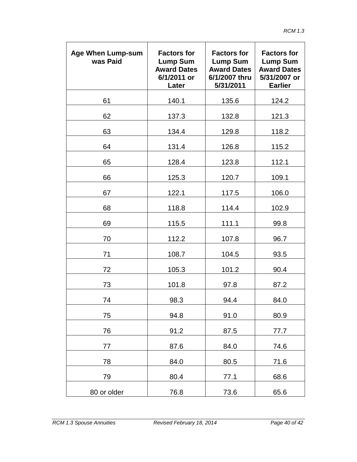| <b>Age When Lump-sum</b><br>was Paid | <b>Factors for</b><br><b>Lump Sum</b><br><b>Award Dates</b><br>6/1/2011 or<br>Later | <b>Factors for</b><br><b>Lump Sum</b><br><b>Award Dates</b><br>6/1/2007 thru<br>5/31/2011 | <b>Factors for</b><br><b>Lump Sum</b><br><b>Award Dates</b><br>5/31/2007 or<br><b>Earlier</b> |
|--------------------------------------|-------------------------------------------------------------------------------------|-------------------------------------------------------------------------------------------|-----------------------------------------------------------------------------------------------|
| 61                                   | 140.1                                                                               | 135.6                                                                                     | 124.2                                                                                         |
| 62                                   | 137.3                                                                               | 132.8                                                                                     | 121.3                                                                                         |
| 63                                   | 134.4                                                                               | 129.8                                                                                     | 118.2                                                                                         |
| 64                                   | 131.4                                                                               | 126.8                                                                                     | 115.2                                                                                         |
| 65                                   | 128.4                                                                               | 123.8                                                                                     | 112.1                                                                                         |
| 66                                   | 125.3                                                                               | 120.7                                                                                     | 109.1                                                                                         |
| 67                                   | 122.1                                                                               | 117.5                                                                                     | 106.0                                                                                         |
| 68                                   | 118.8                                                                               | 114.4                                                                                     | 102.9                                                                                         |
| 69                                   | 115.5                                                                               | 111.1                                                                                     | 99.8                                                                                          |
| 70                                   | 112.2                                                                               | 107.8                                                                                     | 96.7                                                                                          |
| 71                                   | 108.7                                                                               | 104.5                                                                                     | 93.5                                                                                          |
| 72                                   | 105.3                                                                               | 101.2                                                                                     | 90.4                                                                                          |
| 73                                   | 101.8                                                                               | 97.8                                                                                      | 87.2                                                                                          |
| 74                                   | 98.3                                                                                | 94.4                                                                                      | 84.0                                                                                          |
| 75                                   | 94.8                                                                                | 91.0                                                                                      | 80.9                                                                                          |
| 76                                   | 91.2                                                                                | 87.5                                                                                      | 77.7                                                                                          |
| 77                                   | 87.6                                                                                | 84.0                                                                                      | 74.6                                                                                          |
| 78                                   | 84.0                                                                                | 80.5                                                                                      | 71.6                                                                                          |
| 79                                   | 80.4                                                                                | 77.1                                                                                      | 68.6                                                                                          |
| 80 or older                          | 76.8                                                                                | 73.6                                                                                      | 65.6                                                                                          |